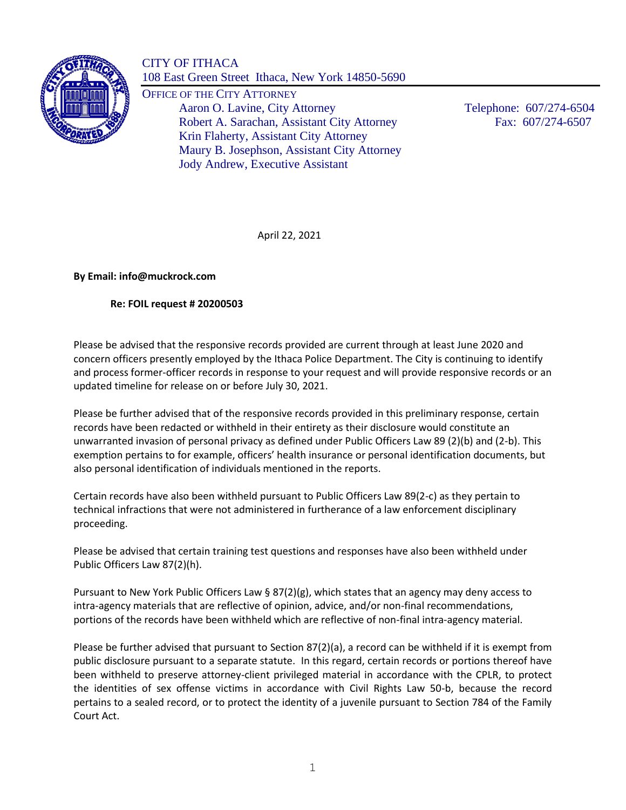

CITY OF ITHACA 108 East Green Street Ithaca, New York 14850-5690

OFFICE OF THE CITY ATTORNEY Aaron O. Lavine, City Attorney Telephone: 607/274-6504 Robert A. Sarachan, Assistant City Attorney Fax: 607/274-6507 Krin Flaherty, Assistant City Attorney Maury B. Josephson, Assistant City Attorney Jody Andrew, Executive Assistant

April 22, 2021

**By Email: info@muckrock.com**

## **Re: FOIL request # 20200503**

Please be advised that the responsive records provided are current through at least June 2020 and concern officers presently employed by the Ithaca Police Department. The City is continuing to identify and process former-officer records in response to your request and will provide responsive records or an updated timeline for release on or before July 30, 2021.

Please be further advised that of the responsive records provided in this preliminary response, certain records have been redacted or withheld in their entirety as their disclosure would constitute an unwarranted invasion of personal privacy as defined under Public Officers Law 89 (2)(b) and (2-b). This exemption pertains to for example, officers' health insurance or personal identification documents, but also personal identification of individuals mentioned in the reports.

Certain records have also been withheld pursuant to Public Officers Law 89(2-c) as they pertain to technical infractions that were not administered in furtherance of a law enforcement disciplinary proceeding.

Please be advised that certain training test questions and responses have also been withheld under Public Officers Law 87(2)(h).

Pursuant to New York Public Officers Law § 87(2)(g), which states that an agency may deny access to intra-agency materials that are reflective of opinion, advice, and/or non-final recommendations, portions of the records have been withheld which are reflective of non-final intra-agency material.

Please be further advised that pursuant to Section 87(2)(a), a record can be withheld if it is exempt from public disclosure pursuant to a separate statute. In this regard, certain records or portions thereof have been withheld to preserve attorney-client privileged material in accordance with the CPLR, to protect the identities of sex offense victims in accordance with Civil Rights Law 50-b, because the record pertains to a sealed record, or to protect the identity of a juvenile pursuant to Section 784 of the Family Court Act.